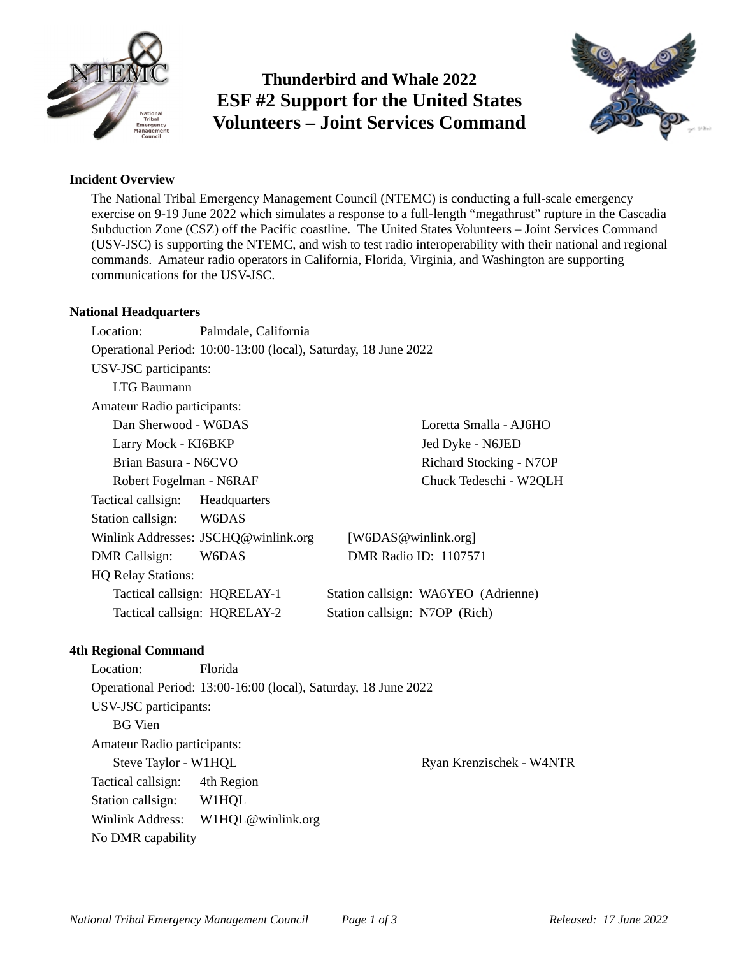

# **Thunderbird and Whale 2022 ESF #2 Support for the United States Volunteers – Joint Services Command**



### **Incident Overview**

The National Tribal Emergency Management Council (NTEMC) is conducting a full-scale emergency exercise on 9-19 June 2022 which simulates a response to a full-length "megathrust" rupture in the Cascadia Subduction Zone (CSZ) off the Pacific coastline. The United States Volunteers – Joint Services Command (USV-JSC) is supporting the NTEMC, and wish to test radio interoperability with their national and regional commands. Amateur radio operators in California, Florida, Virginia, and Washington are supporting communications for the USV-JSC.

### **National Headquarters**

Location: Palmdale, California Operational Period: 10:00-13:00 (local), Saturday, 18 June 2022 USV-JSC participants: LTG Baumann Amateur Radio participants: Dan Sherwood - W6DAS Larry Mock - KI6BKP Brian Basura - N6CVO Robert Fogelman - N6RAF Loretta Smalla - AJ6HO Jed Dyke - N6JED Richard Stocking - N7OP Chuck Tedeschi - W2QLH Tactical callsign: Headquarters Station callsign: W6DAS Winlink Addresses: JSCHQ@winlink.org [W6DAS@winlink.org] DMR Callsign: W6DAS DMR Radio ID: 1107571 HQ Relay Stations: Tactical callsign: HQRELAY-1 Station callsign: WA6YEO (Adrienne) Tactical callsign: HQRELAY-2 Station callsign: N7OP (Rich)

### **4th Regional Command**

Location: Florida Operational Period: 13:00-16:00 (local), Saturday, 18 June 2022 USV-JSC participants: BG Vien Amateur Radio participants: Steve Taylor - W1HQL **Ryan Krenzischek - W4NTR** Tactical callsign: 4th Region Station callsign: W1HQL Winlink Address: W1HQL@winlink.org No DMR capability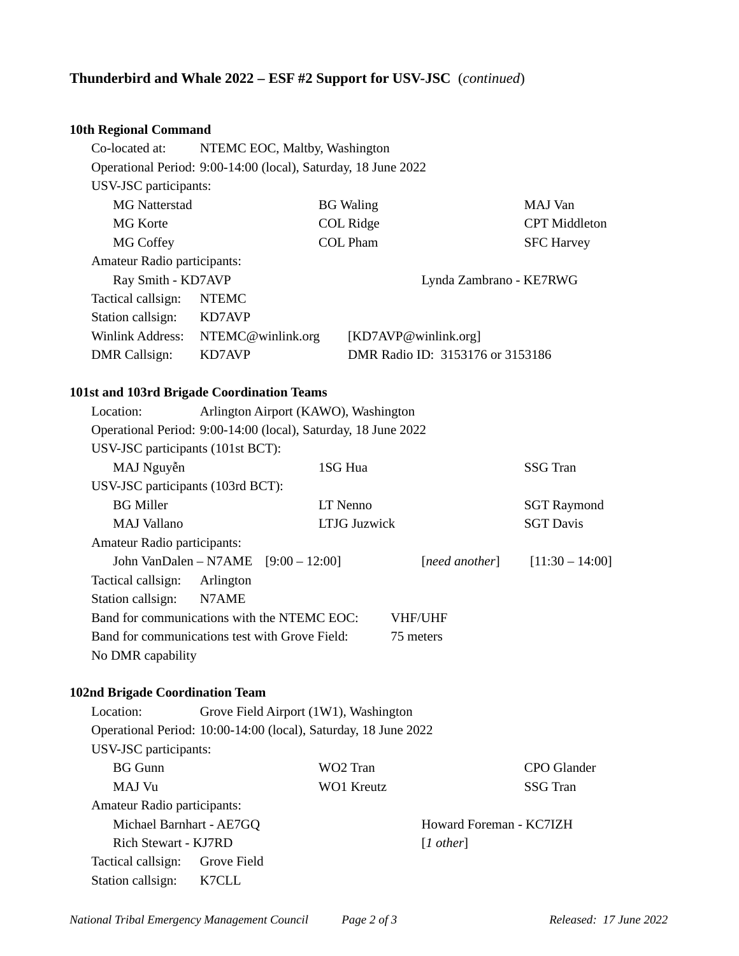## **Thunderbird and Whale 2022 – ESF #2 Support for USV-JSC** (*continued*)

# **10th Regional Command**

| Tuth Regional Command                          |                                                                 |                                       |                         |                                  |                    |  |  |  |
|------------------------------------------------|-----------------------------------------------------------------|---------------------------------------|-------------------------|----------------------------------|--------------------|--|--|--|
| Co-located at:                                 |                                                                 | NTEMC EOC, Maltby, Washington         |                         |                                  |                    |  |  |  |
|                                                | Operational Period: 9:00-14:00 (local), Saturday, 18 June 2022  |                                       |                         |                                  |                    |  |  |  |
| USV-JSC participants:                          |                                                                 |                                       |                         |                                  |                    |  |  |  |
| <b>MG Natterstad</b>                           |                                                                 |                                       | <b>BG</b> Waling        |                                  | MAJ Van            |  |  |  |
| <b>MG</b> Korte                                | <b>COL Ridge</b>                                                |                                       |                         | <b>CPT</b> Middleton             |                    |  |  |  |
| <b>MG Coffey</b>                               | <b>COL Pham</b>                                                 |                                       |                         | <b>SFC Harvey</b>                |                    |  |  |  |
| Amateur Radio participants:                    |                                                                 |                                       |                         |                                  |                    |  |  |  |
| Ray Smith - KD7AVP                             |                                                                 |                                       | Lynda Zambrano - KE7RWG |                                  |                    |  |  |  |
| Tactical callsign:                             | <b>NTEMC</b>                                                    |                                       |                         |                                  |                    |  |  |  |
| Station callsign:                              | KD7AVP                                                          |                                       |                         |                                  |                    |  |  |  |
| Winlink Address:                               |                                                                 | NTEMC@winlink.org                     |                         | [KD7AVP@winlink.org]             |                    |  |  |  |
| <b>DMR</b> Callsign:                           | KD7AVP                                                          |                                       |                         | DMR Radio ID: 3153176 or 3153186 |                    |  |  |  |
|                                                |                                                                 |                                       |                         |                                  |                    |  |  |  |
| 101st and 103rd Brigade Coordination Teams     |                                                                 |                                       |                         |                                  |                    |  |  |  |
| Location:                                      |                                                                 | Arlington Airport (KAWO), Washington  |                         |                                  |                    |  |  |  |
|                                                | Operational Period: 9:00-14:00 (local), Saturday, 18 June 2022  |                                       |                         |                                  |                    |  |  |  |
| USV-JSC participants (101st BCT):              |                                                                 |                                       |                         |                                  |                    |  |  |  |
| MAJ Nguyễn                                     |                                                                 |                                       | 1SG Hua                 |                                  | <b>SSG Tran</b>    |  |  |  |
| USV-JSC participants (103rd BCT):              |                                                                 |                                       |                         |                                  |                    |  |  |  |
| <b>BG</b> Miller                               |                                                                 |                                       | <b>LT</b> Nenno         |                                  | <b>SGT Raymond</b> |  |  |  |
| <b>MAJ Vallano</b>                             | <b>LTJG Juzwick</b>                                             |                                       |                         | <b>SGT Davis</b>                 |                    |  |  |  |
| Amateur Radio participants:                    |                                                                 |                                       |                         |                                  |                    |  |  |  |
|                                                |                                                                 | John VanDalen - N7AME [9:00 - 12:00]  |                         | [need another]                   | $[11:30 - 14:00]$  |  |  |  |
| Tactical callsign:                             | Arlington                                                       |                                       |                         |                                  |                    |  |  |  |
| Station callsign:                              | N7AME                                                           |                                       |                         |                                  |                    |  |  |  |
| Band for communications with the NTEMC EOC:    |                                                                 |                                       |                         | VHF/UHF                          |                    |  |  |  |
| Band for communications test with Grove Field: |                                                                 |                                       |                         | 75 meters                        |                    |  |  |  |
| No DMR capability                              |                                                                 |                                       |                         |                                  |                    |  |  |  |
|                                                |                                                                 |                                       |                         |                                  |                    |  |  |  |
| <b>102nd Brigade Coordination Team</b>         |                                                                 |                                       |                         |                                  |                    |  |  |  |
| Location:                                      |                                                                 | Grove Field Airport (1W1), Washington |                         |                                  |                    |  |  |  |
|                                                | Operational Period: 10:00-14:00 (local), Saturday, 18 June 2022 |                                       |                         |                                  |                    |  |  |  |
| USV-JSC participants:                          |                                                                 |                                       |                         |                                  |                    |  |  |  |
| <b>BG</b> Gunn                                 |                                                                 |                                       | WO <sub>2</sub> Tran    |                                  | <b>CPO</b> Glander |  |  |  |
| MAJ Vu                                         |                                                                 |                                       | <b>WO1 Kreutz</b>       |                                  | <b>SSG Tran</b>    |  |  |  |
| Amateur Radio participants:                    |                                                                 |                                       |                         |                                  |                    |  |  |  |

Howard Foreman - KC7IZH [*1 other*]

Michael Barnhart - AE7GQ Rich Stewart - KJ7RD

Tactical callsign: Grove Field Station callsign: K7CLL